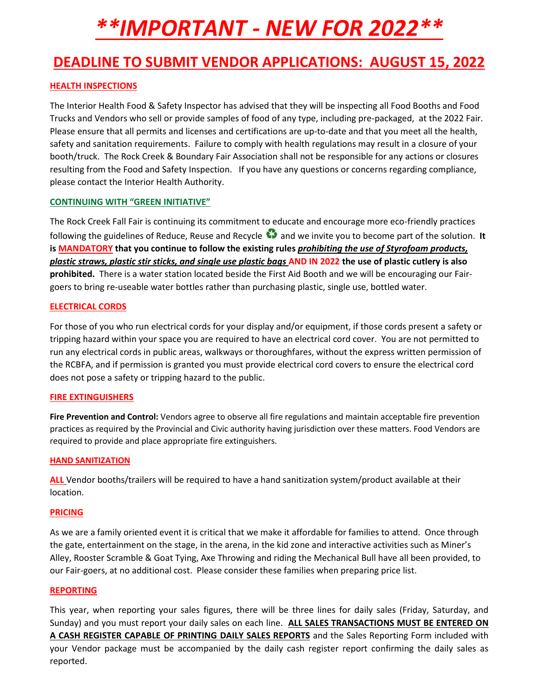# *\*\*IMPORTANT - NEW FOR 2022\*\**

### **DEADLINE TO SUBMIT VENDOR APPLICATIONS: AUGUST 15, 2022**

#### **HEALTH INSPECTIONS**

The Interior Health Food & Safety Inspector has advised that they will be inspecting all Food Booths and Food Trucks and Vendors who sell or provide samples of food of any type, including pre-packaged, at the 2022 Fair. Please ensure that all permits and licenses and certifications are up-to-date and that you meet all the health, safety and sanitation requirements. Failure to comply with health regulations may result in a closure of your booth/truck. The Rock Creek & Boundary Fair Association shall not be responsible for any actions or closures resulting from the Food and Safety Inspection. If you have any questions or concerns regarding compliance, please contact the Interior Health Authority.

#### **CONTINUING WITH "GREEN INITIATIVE"**

The Rock Creek Fall Fair is continuing its commitment to educate and encourage more eco-friendly practices following the guidelines of Reduce, Reuse and Recycle  $\bullet$  and we invite you to become part of the solution. It **is MANDATORY that you continue to follow the existing rules** *prohibiting the use of Styrofoam products, plastic straws, plastic stir sticks, and single use plastic bags* **AND IN 2022 the use of plastic cutlery is also prohibited.** There is a water station located beside the First Aid Booth and we will be encouraging our Fairgoers to bring re-useable water bottles rather than purchasing plastic, single use, bottled water.

#### **ELECTRICAL CORDS**

For those of you who run electrical cords for your display and/or equipment, if those cords present a safety or tripping hazard within your space you are required to have an electrical cord cover. You are not permitted to run any electrical cords in public areas, walkways or thoroughfares, without the express written permission of the RCBFA, and if permission is granted you must provide electrical cord covers to ensure the electrical cord does not pose a safety or tripping hazard to the public.

#### **FIRE EXTINGUISHERS**

**Fire Prevention and Control:** Vendors agree to observe all fire regulations and maintain acceptable fire prevention practices as required by the Provincial and Civic authority having jurisdiction over these matters. Food Vendors are required to provide and place appropriate fire extinguishers.

#### **HAND SANITIZATION**

**ALL** Vendor booths/trailers will be required to have a hand sanitization system/product available at their location.

#### **PRICING**

As we are a family oriented event it is critical that we make it affordable for families to attend. Once through the gate, entertainment on the stage, in the arena, in the kid zone and interactive activities such as Miner's Alley, Rooster Scramble & Goat Tying, Axe Throwing and riding the Mechanical Bull have all been provided, to our Fair-goers, at no additional cost. Please consider these families when preparing price list.

#### **REPORTING**

This year, when reporting your sales figures, there will be three lines for daily sales (Friday, Saturday, and Sunday) and you must report your daily sales on each line. **ALL SALES TRANSACTIONS MUST BE ENTERED ON A CASH REGISTER CAPABLE OF PRINTING DAILY SALES REPORTS** and the Sales Reporting Form included with your Vendor package must be accompanied by the daily cash register report confirming the daily sales as reported.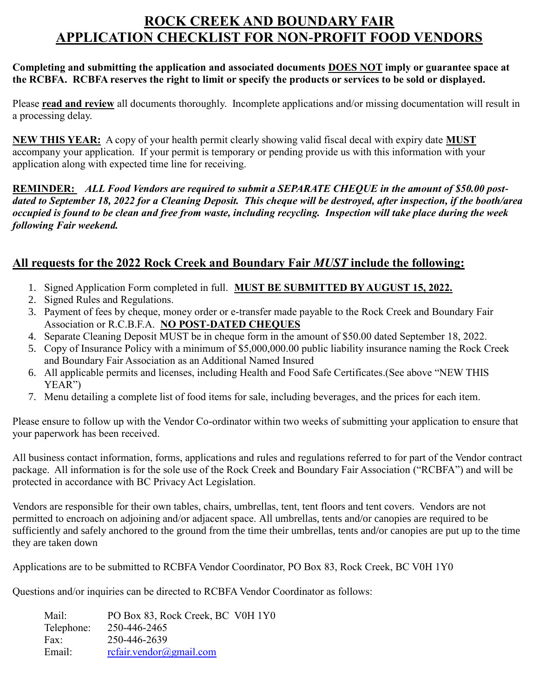### **ROCK CREEK AND BOUNDARY FAIR APPLICATION CHECKLIST FOR NON-PROFIT FOOD VENDORS**

#### **Completing and submitting the application and associated documents DOES NOT imply or guarantee space at the RCBFA. RCBFA reserves the right to limit or specify the products or services to be sold or displayed.**

Please **read and review** all documents thoroughly. Incomplete applications and/or missing documentation will result in a processing delay.

**NEW THIS YEAR:** A copy of your health permit clearly showing valid fiscal decal with expiry date **MUST**  accompany your application. If your permit is temporary or pending provide us with this information with your application along with expected time line for receiving.

**REMINDER:** *ALL Food Vendors are required to submit a SEPARATE CHEQUE in the amount of \$50.00 postdated to September 18, 2022 for a Cleaning Deposit. This cheque will be destroyed, after inspection, if the booth/area occupied is found to be clean and free from waste, including recycling. Inspection will take place during the week following Fair weekend.*

### **All requests for the 2022 Rock Creek and Boundary Fair** *MUST* **include the following:**

- 1. Signed Application Form completed in full. **MUST BE SUBMITTED BY AUGUST 15, 2022.**
- 2. Signed Rules and Regulations.
- 3. Payment of fees by cheque, money order or e-transfer made payable to the Rock Creek and Boundary Fair Association or R.C.B.F.A. **NO POST-DATED CHEQUES**
- 4. Separate Cleaning Deposit MUST be in cheque form in the amount of \$50.00 dated September 18, 2022.
- 5. Copy of Insurance Policy with a minimum of \$5,000,000.00 public liability insurance naming the Rock Creek and Boundary Fair Association as an Additional Named Insured
- 6. All applicable permits and licenses, including Health and Food Safe Certificates.(See above "NEW THIS YEAR")
- 7. Menu detailing a complete list of food items for sale, including beverages, and the prices for each item.

Please ensure to follow up with the Vendor Co-ordinator within two weeks of submitting your application to ensure that your paperwork has been received.

All business contact information, forms, applications and rules and regulations referred to for part of the Vendor contract package. All information is for the sole use of the Rock Creek and Boundary Fair Association ("RCBFA") and will be protected in accordance with BC Privacy Act Legislation.

Vendors are responsible for their own tables, chairs, umbrellas, tent, tent floors and tent covers. Vendors are not permitted to encroach on adjoining and/or adjacent space. All umbrellas, tents and/or canopies are required to be sufficiently and safely anchored to the ground from the time their umbrellas, tents and/or canopies are put up to the time they are taken down

Applications are to be submitted to RCBFA Vendor Coordinator, PO Box 83, Rock Creek, BC V0H 1Y0

Questions and/or inquiries can be directed to RCBFA Vendor Coordinator as follows:

Mail: PO Box 83, Rock Creek, BC V0H 1Y0 Telephone: 250-446-2465 Fax: 250-446-2639 Email: [rcfair.vendor@gmail.com](mailto:rcfair.vendor@gmail.com)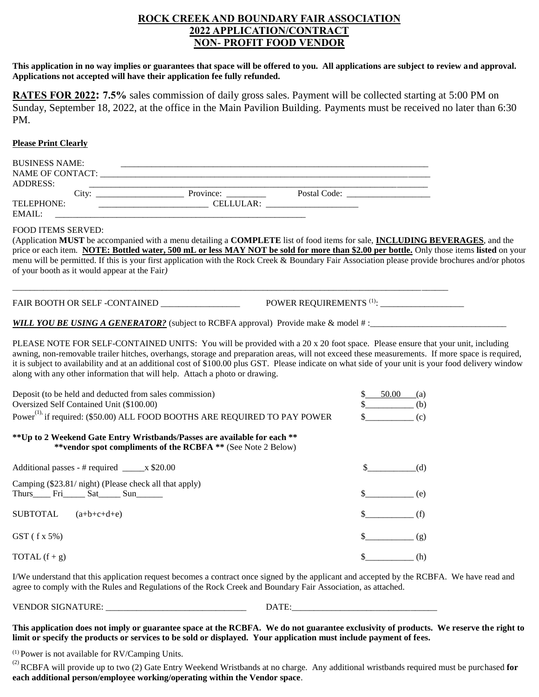#### **ROCK CREEK AND BOUNDARY FAIR ASSOCIATION 2022 APPLICATION/CONTRACT NON- PROFIT FOOD VENDOR**

**This application in no way implies or guarantees that space will be offered to you. All applications are subject to review and approval. Applications not accepted will have their application fee fully refunded.**

**RATES FOR 2022: 7.5%** sales commission of daily gross sales. Payment will be collected starting at 5:00 PM on Sunday, September 18, 2022, at the office in the Main Pavilion Building. Payments must be received no later than 6:30 PM.

#### **Please Print Clearly**

| <b>BUSINESS NAME:</b>                                                                               |                                                                                                                                                                                                                                                                                                                                                                                                                                                                                                                         |                                    |
|-----------------------------------------------------------------------------------------------------|-------------------------------------------------------------------------------------------------------------------------------------------------------------------------------------------------------------------------------------------------------------------------------------------------------------------------------------------------------------------------------------------------------------------------------------------------------------------------------------------------------------------------|------------------------------------|
| <b>ADDRESS:</b>                                                                                     |                                                                                                                                                                                                                                                                                                                                                                                                                                                                                                                         |                                    |
|                                                                                                     |                                                                                                                                                                                                                                                                                                                                                                                                                                                                                                                         |                                    |
| TELEPHONE:<br>EMAIL:                                                                                |                                                                                                                                                                                                                                                                                                                                                                                                                                                                                                                         |                                    |
| <b>FOOD ITEMS SERVED:</b><br>of your booth as it would appear at the Fair)                          | (Application MUST be accompanied with a menu detailing a COMPLETE list of food items for sale, INCLUDING BEVERAGES, and the<br>price or each item. NOTE: Bottled water, 500 mL or less MAY NOT be sold for more than \$2.00 per bottle. Only those items listed on your<br>menu will be permitted. If this is your first application with the Rock Creek & Boundary Fair Association please provide brochures and/or photos                                                                                             |                                    |
|                                                                                                     |                                                                                                                                                                                                                                                                                                                                                                                                                                                                                                                         |                                    |
|                                                                                                     | WILL YOU BE USING A GENERATOR? (subject to RCBFA approval) Provide make & model #:                                                                                                                                                                                                                                                                                                                                                                                                                                      |                                    |
|                                                                                                     | PLEASE NOTE FOR SELF-CONTAINED UNITS: You will be provided with a 20 x 20 foot space. Please ensure that your unit, including<br>awning, non-removable trailer hitches, overhangs, storage and preparation areas, will not exceed these measurements. If more space is required,<br>it is subject to availability and at an additional cost of \$100.00 plus GST. Please indicate on what side of your unit is your food delivery window<br>along with any other information that will help. Attach a photo or drawing. |                                    |
| Deposit (to be held and deducted from sales commission)<br>Oversized Self Contained Unit (\$100.00) |                                                                                                                                                                                                                                                                                                                                                                                                                                                                                                                         | \$ 50.00 (a)<br>$\updownarrow$ (b) |
|                                                                                                     | Power <sup>(1),</sup> if required: (\$50.00) ALL FOOD BOOTHS ARE REQUIRED TO PAY POWER                                                                                                                                                                                                                                                                                                                                                                                                                                  |                                    |
|                                                                                                     | ** Up to 2 Weekend Gate Entry Wristbands/Passes are available for each **<br>**vendor spot compliments of the RCBFA ** (See Note 2 Below)                                                                                                                                                                                                                                                                                                                                                                               |                                    |
|                                                                                                     |                                                                                                                                                                                                                                                                                                                                                                                                                                                                                                                         | (d)                                |
| Camping (\$23.81/ night) (Please check all that apply)                                              |                                                                                                                                                                                                                                                                                                                                                                                                                                                                                                                         | (e)                                |
| <b>SUBTOTAL</b><br>$(a+b+c+d+e)$                                                                    |                                                                                                                                                                                                                                                                                                                                                                                                                                                                                                                         | (f)                                |
| $GST$ (f x 5%)                                                                                      |                                                                                                                                                                                                                                                                                                                                                                                                                                                                                                                         | (g)                                |
| TOTAL $(f + g)$                                                                                     |                                                                                                                                                                                                                                                                                                                                                                                                                                                                                                                         | \$<br>(h)                          |

I/We understand that this application request becomes a contract once signed by the applicant and accepted by the RCBFA. We have read and agree to comply with the Rules and Regulations of the Rock Creek and Boundary Fair Association, as attached.

VENDOR SIGNATURE:  $\begin{array}{ccc} \text{DATE:} \end{array}$ 

**This application does not imply or guarantee space at the RCBFA. We do not guarantee exclusivity of products. We reserve the right to limit or specify the products or services to be sold or displayed. Your application must include payment of fees.**

(1) Power is not available for RV/Camping Units.

(2) RCBFA will provide up to two (2) Gate Entry Weekend Wristbands at no charge. Any additional wristbands required must be purchased **for each additional person/employee working/operating within the Vendor space**.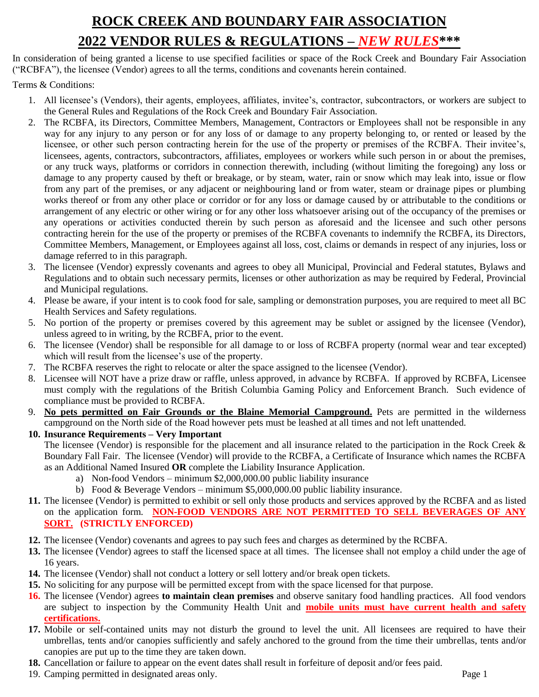## **ROCK CREEK AND BOUNDARY FAIR ASSOCIATION 2022 VENDOR RULES & REGULATIONS –** *NEW RULES***\*\*\***

In consideration of being granted a license to use specified facilities or space of the Rock Creek and Boundary Fair Association ("RCBFA"), the licensee (Vendor) agrees to all the terms, conditions and covenants herein contained.

Terms & Conditions:

- 1. All licensee's (Vendors), their agents, employees, affiliates, invitee's, contractor, subcontractors, or workers are subject to the General Rules and Regulations of the Rock Creek and Boundary Fair Association.
- 2. The RCBFA, its Directors, Committee Members, Management, Contractors or Employees shall not be responsible in any way for any injury to any person or for any loss of or damage to any property belonging to, or rented or leased by the licensee, or other such person contracting herein for the use of the property or premises of the RCBFA. Their invitee's, licensees, agents, contractors, subcontractors, affiliates, employees or workers while such person in or about the premises, or any truck ways, platforms or corridors in connection therewith, including (without limiting the foregoing) any loss or damage to any property caused by theft or breakage, or by steam, water, rain or snow which may leak into, issue or flow from any part of the premises, or any adjacent or neighbouring land or from water, steam or drainage pipes or plumbing works thereof or from any other place or corridor or for any loss or damage caused by or attributable to the conditions or arrangement of any electric or other wiring or for any other loss whatsoever arising out of the occupancy of the premises or any operations or activities conducted therein by such person as aforesaid and the licensee and such other persons contracting herein for the use of the property or premises of the RCBFA covenants to indemnify the RCBFA, its Directors, Committee Members, Management, or Employees against all loss, cost, claims or demands in respect of any injuries, loss or damage referred to in this paragraph.
- 3. The licensee (Vendor) expressly covenants and agrees to obey all Municipal, Provincial and Federal statutes, Bylaws and Regulations and to obtain such necessary permits, licenses or other authorization as may be required by Federal, Provincial and Municipal regulations.
- 4. Please be aware, if your intent is to cook food for sale, sampling or demonstration purposes, you are required to meet all BC Health Services and Safety regulations.
- 5. No portion of the property or premises covered by this agreement may be sublet or assigned by the licensee (Vendor), unless agreed to in writing, by the RCBFA, prior to the event.
- 6. The licensee (Vendor) shall be responsible for all damage to or loss of RCBFA property (normal wear and tear excepted) which will result from the licensee's use of the property.
- 7. The RCBFA reserves the right to relocate or alter the space assigned to the licensee (Vendor).
- 8. Licensee will NOT have a prize draw or raffle, unless approved, in advance by RCBFA. If approved by RCBFA, Licensee must comply with the regulations of the British Columbia Gaming Policy and Enforcement Branch. Such evidence of compliance must be provided to RCBFA.
- 9. **No pets permitted on Fair Grounds or the Blaine Memorial Campground.** Pets are permitted in the wilderness campground on the North side of the Road however pets must be leashed at all times and not left unattended.
- **10. Insurance Requirements – Very Important**

The licensee (Vendor) is responsible for the placement and all insurance related to the participation in the Rock Creek & Boundary Fall Fair. The licensee (Vendor) will provide to the RCBFA, a Certificate of Insurance which names the RCBFA as an Additional Named Insured **OR** complete the Liability Insurance Application.

- a) Non-food Vendors minimum \$2,000,000.00 public liability insurance
- b) Food & Beverage Vendors minimum \$5,000,000.00 public liability insurance.
- **11.** The licensee (Vendor) is permitted to exhibit or sell only those products and services approved by the RCBFA and as listed on the application form. **NON-FOOD VENDORS ARE NOT PERMITTED TO SELL BEVERAGES OF ANY SORT. (STRICTLY ENFORCED)**
- **12.** The licensee (Vendor) covenants and agrees to pay such fees and charges as determined by the RCBFA.
- **13.** The licensee (Vendor) agrees to staff the licensed space at all times. The licensee shall not employ a child under the age of 16 years.
- **14.** The licensee (Vendor) shall not conduct a lottery or sell lottery and/or break open tickets.
- **15.** No soliciting for any purpose will be permitted except from with the space licensed for that purpose.
- **16.** The licensee (Vendor) agrees **to maintain clean premises** and observe sanitary food handling practices. All food vendors are subject to inspection by the Community Health Unit and **mobile units must have current health and safety certifications.**
- **17.** Mobile or self-contained units may not disturb the ground to level the unit. All licensees are required to have their umbrellas, tents and/or canopies sufficiently and safely anchored to the ground from the time their umbrellas, tents and/or canopies are put up to the time they are taken down.
- **18.** Cancellation or failure to appear on the event dates shall result in forfeiture of deposit and/or fees paid.
- 19. Camping permitted in designated areas only. Page 1